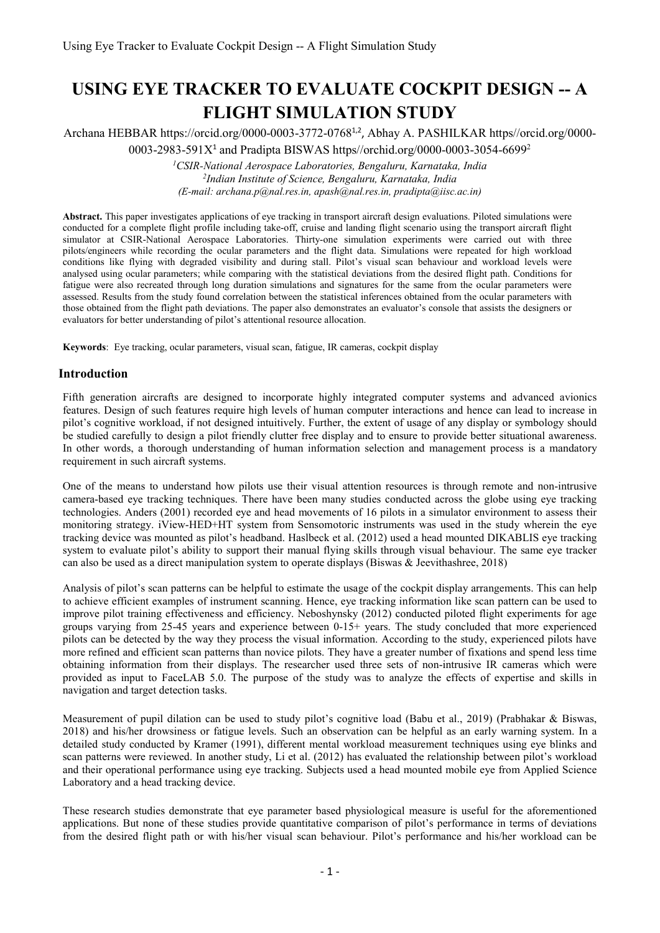# **USING EYE TRACKER TO EVALUATE COCKPIT DESIGN -- A FLIGHT SIMULATION STUDY**

Archana HEBBAR https://orcid.org/0000-0003-3772-0768<sup>1,2</sup>, Abhay A. PASHILKAR https//orcid.org/0000-0003-2983-591 $X^1$  and Pradipta BISWAS https//orchid.org/0000-0003-3054-6699<sup>2</sup>

> *<sup>1</sup>CSIR-National Aerospace Laboratories, Bengaluru, Karnataka, India 2 Indian Institute of Science, Bengaluru, Karnataka, India (E-mail: archana.p@nal.res.in, apash@nal.res.in, pradipta@iisc.ac.in)*

**Abstract.** This paper investigates applications of eye tracking in transport aircraft design evaluations. Piloted simulations were conducted for a complete flight profile including take-off, cruise and landing flight scenario using the transport aircraft flight simulator at CSIR-National Aerospace Laboratories. Thirty-one simulation experiments were carried out with three pilots/engineers while recording the ocular parameters and the flight data. Simulations were repeated for high workload conditions like flying with degraded visibility and during stall. Pilot's visual scan behaviour and workload levels were analysed using ocular parameters; while comparing with the statistical deviations from the desired flight path. Conditions for fatigue were also recreated through long duration simulations and signatures for the same from the ocular parameters were assessed. Results from the study found correlation between the statistical inferences obtained from the ocular parameters with those obtained from the flight path deviations. The paper also demonstrates an evaluator's console that assists the designers or evaluators for better understanding of pilot's attentional resource allocation.

**Keywords**: Eye tracking, ocular parameters, visual scan, fatigue, IR cameras, cockpit display

#### **Introduction**

Fifth generation aircrafts are designed to incorporate highly integrated computer systems and advanced avionics features. Design of such features require high levels of human computer interactions and hence can lead to increase in pilot's cognitive workload, if not designed intuitively. Further, the extent of usage of any display or symbology should be studied carefully to design a pilot friendly clutter free display and to ensure to provide better situational awareness. In other words, a thorough understanding of human information selection and management process is a mandatory requirement in such aircraft systems.

One of the means to understand how pilots use their visual attention resources is through remote and non-intrusive camera-based eye tracking techniques. There have been many studies conducted across the globe using eye tracking technologies. Anders (2001) recorded eye and head movements of 16 pilots in a simulator environment to assess their monitoring strategy. iView-HED+HT system from Sensomotoric instruments was used in the study wherein the eye tracking device was mounted as pilot's headband. Haslbeck et al. (2012) used a head mounted DIKABLIS eye tracking system to evaluate pilot's ability to support their manual flying skills through visual behaviour. The same eye tracker can also be used as a direct manipulation system to operate displays (Biswas & Jeevithashree, 2018)

Analysis of pilot's scan patterns can be helpful to estimate the usage of the cockpit display arrangements. This can help to achieve efficient examples of instrument scanning. Hence, eye tracking information like scan pattern can be used to improve pilot training effectiveness and efficiency. Neboshynsky (2012) conducted piloted flight experiments for age groups varying from 25-45 years and experience between 0-15+ years. The study concluded that more experienced pilots can be detected by the way they process the visual information. According to the study, experienced pilots have more refined and efficient scan patterns than novice pilots. They have a greater number of fixations and spend less time obtaining information from their displays. The researcher used three sets of non-intrusive IR cameras which were provided as input to FaceLAB 5.0. The purpose of the study was to analyze the effects of expertise and skills in navigation and target detection tasks.

Measurement of pupil dilation can be used to study pilot's cognitive load (Babu et al., 2019) (Prabhakar & Biswas, 2018) and his/her drowsiness or fatigue levels. Such an observation can be helpful as an early warning system. In a detailed study conducted by Kramer (1991), different mental workload measurement techniques using eye blinks and scan patterns were reviewed. In another study, Li et al. (2012) has evaluated the relationship between pilot's workload and their operational performance using eye tracking. Subjects used a head mounted mobile eye from Applied Science Laboratory and a head tracking device.

These research studies demonstrate that eye parameter based physiological measure is useful for the aforementioned applications. But none of these studies provide quantitative comparison of pilot's performance in terms of deviations from the desired flight path or with his/her visual scan behaviour. Pilot's performance and his/her workload can be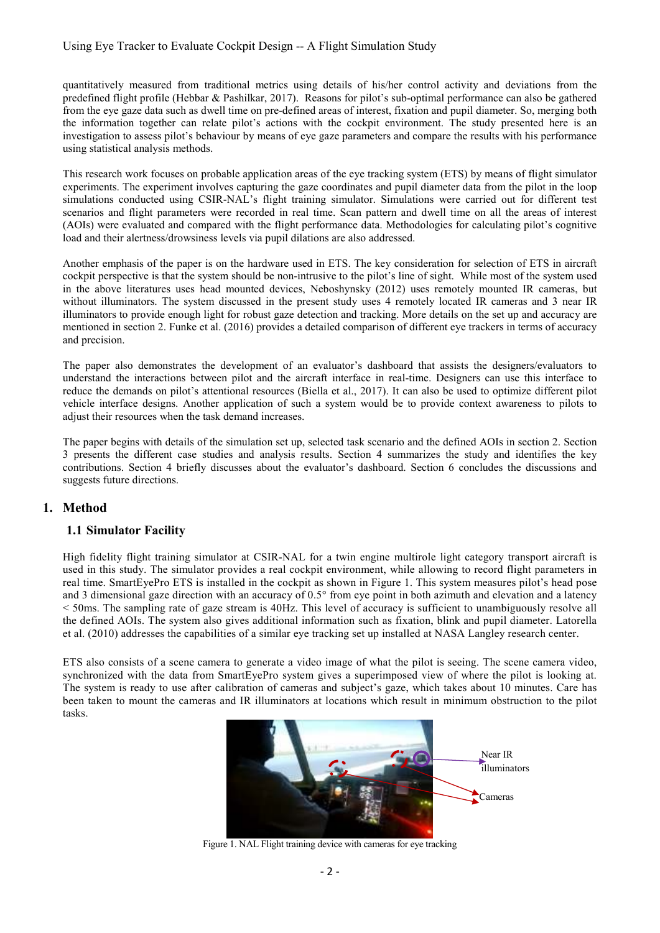## Using Eye Tracker to Evaluate Cockpit Design -- A Flight Simulation Study

quantitatively measured from traditional metrics using details of his/her control activity and deviations from the predefined flight profile (Hebbar & Pashilkar, 2017). Reasons for pilot's sub-optimal performance can also be gathered from the eye gaze data such as dwell time on pre-defined areas of interest, fixation and pupil diameter. So, merging both the information together can relate pilot's actions with the cockpit environment. The study presented here is an investigation to assess pilot's behaviour by means of eye gaze parameters and compare the results with his performance using statistical analysis methods.

This research work focuses on probable application areas of the eye tracking system (ETS) by means of flight simulator experiments. The experiment involves capturing the gaze coordinates and pupil diameter data from the pilot in the loop simulations conducted using CSIR-NAL's flight training simulator. Simulations were carried out for different test scenarios and flight parameters were recorded in real time. Scan pattern and dwell time on all the areas of interest (AOIs) were evaluated and compared with the flight performance data. Methodologies for calculating pilot's cognitive load and their alertness/drowsiness levels via pupil dilations are also addressed.

Another emphasis of the paper is on the hardware used in ETS. The key consideration for selection of ETS in aircraft cockpit perspective is that the system should be non-intrusive to the pilot's line of sight. While most of the system used in the above literatures uses head mounted devices, Neboshynsky (2012) uses remotely mounted IR cameras, but without illuminators. The system discussed in the present study uses 4 remotely located IR cameras and 3 near IR illuminators to provide enough light for robust gaze detection and tracking. More details on the set up and accuracy are mentioned in section 2. Funke et al. (2016) provides a detailed comparison of different eye trackers in terms of accuracy and precision.

The paper also demonstrates the development of an evaluator's dashboard that assists the designers/evaluators to understand the interactions between pilot and the aircraft interface in real-time. Designers can use this interface to reduce the demands on pilot's attentional resources (Biella et al., 2017). It can also be used to optimize different pilot vehicle interface designs. Another application of such a system would be to provide context awareness to pilots to adjust their resources when the task demand increases.

The paper begins with details of the simulation set up, selected task scenario and the defined AOIs in section 2. Section 3 presents the different case studies and analysis results. Section 4 summarizes the study and identifies the key contributions. Section 4 briefly discusses about the evaluator's dashboard. Section 6 concludes the discussions and suggests future directions.

#### **1. Method**

## **1.1 Simulator Facility**

High fidelity flight training simulator at CSIR-NAL for a twin engine multirole light category transport aircraft is used in this study. The simulator provides a real cockpit environment, while allowing to record flight parameters in real time. SmartEyePro ETS is installed in the cockpit as shown in Figure 1. This system measures pilot's head pose and 3 dimensional gaze direction with an accuracy of 0.5° from eye point in both azimuth and elevation and a latency < 50ms. The sampling rate of gaze stream is 40Hz. This level of accuracy is sufficient to unambiguously resolve all the defined AOIs. The system also gives additional information such as fixation, blink and pupil diameter. Latorella et al. (2010) addresses the capabilities of a similar eye tracking set up installed at NASA Langley research center.

ETS also consists of a scene camera to generate a video image of what the pilot is seeing. The scene camera video, synchronized with the data from SmartEyePro system gives a superimposed view of where the pilot is looking at. The system is ready to use after calibration of cameras and subject's gaze, which takes about 10 minutes. Care has been taken to mount the cameras and IR illuminators at locations which result in minimum obstruction to the pilot tasks.



Figure 1. NAL Flight training device with cameras for eye tracking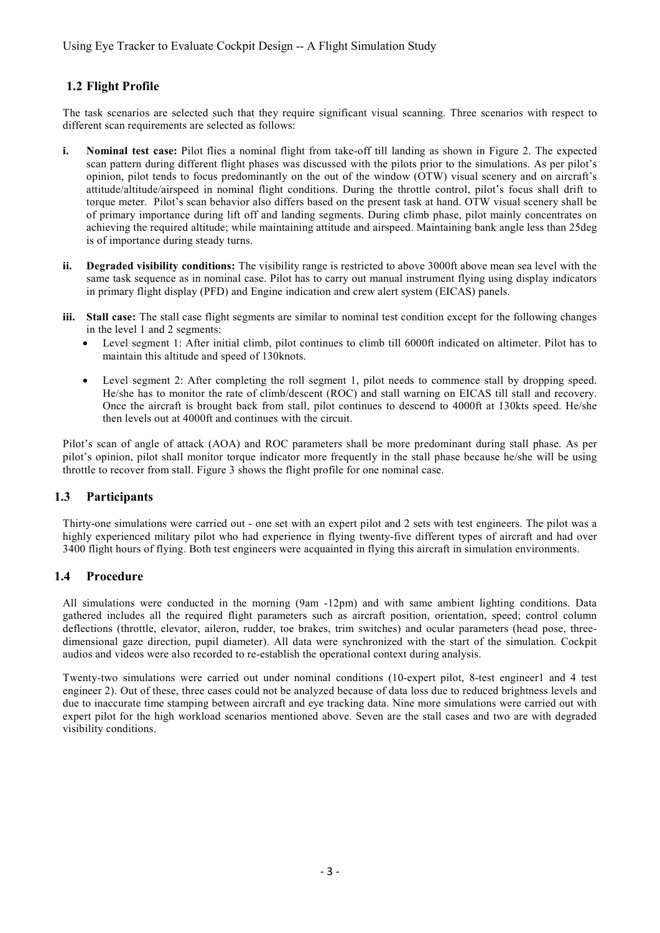# **1.2 Flight Profile**

The task scenarios are selected such that they require significant visual scanning. Three scenarios with respect to different scan requirements are selected as follows:

- **i. Nominal test case:** Pilot flies a nominal flight from take-off till landing as shown in Figure 2. The expected scan pattern during different flight phases was discussed with the pilots prior to the simulations. As per pilot's opinion, pilot tends to focus predominantly on the out of the window (OTW) visual scenery and on aircraft's attitude/altitude/airspeed in nominal flight conditions. During the throttle control, pilot's focus shall drift to torque meter. Pilot's scan behavior also differs based on the present task at hand. OTW visual scenery shall be of primary importance during lift off and landing segments. During climb phase, pilot mainly concentrates on achieving the required altitude; while maintaining attitude and airspeed. Maintaining bank angle less than 25deg is of importance during steady turns.
- **ii. Degraded visibility conditions:** The visibility range is restricted to above 3000ft above mean sea level with the same task sequence as in nominal case. Pilot has to carry out manual instrument flying using display indicators in primary flight display (PFD) and Engine indication and crew alert system (EICAS) panels.
- **iii. Stall case:** The stall case flight segments are similar to nominal test condition except for the following changes in the level 1 and 2 segments:
	- Level segment 1: After initial climb, pilot continues to climb till 6000ft indicated on altimeter. Pilot has to maintain this altitude and speed of 130knots.
	- Level segment 2: After completing the roll segment 1, pilot needs to commence stall by dropping speed. He/she has to monitor the rate of climb/descent (ROC) and stall warning on EICAS till stall and recovery. Once the aircraft is brought back from stall, pilot continues to descend to 4000ft at 130kts speed. He/she then levels out at 4000ft and continues with the circuit.

Pilot's scan of angle of attack (AOA) and ROC parameters shall be more predominant during stall phase. As per pilot's opinion, pilot shall monitor torque indicator more frequently in the stall phase because he/she will be using throttle to recover from stall. Figure 3 shows the flight profile for one nominal case.

# **1.3 Participants**

Thirty-one simulations were carried out - one set with an expert pilot and 2 sets with test engineers. The pilot was a highly experienced military pilot who had experience in flying twenty-five different types of aircraft and had over 3400 flight hours of flying. Both test engineers were acquainted in flying this aircraft in simulation environments.

## **1.4 Procedure**

All simulations were conducted in the morning (9am -12pm) and with same ambient lighting conditions. Data gathered includes all the required flight parameters such as aircraft position, orientation, speed; control column deflections (throttle, elevator, aileron, rudder, toe brakes, trim switches) and ocular parameters (head pose, threedimensional gaze direction, pupil diameter). All data were synchronized with the start of the simulation. Cockpit audios and videos were also recorded to re-establish the operational context during analysis.

Twenty-two simulations were carried out under nominal conditions (10-expert pilot, 8-test engineer1 and 4 test engineer 2). Out of these, three cases could not be analyzed because of data loss due to reduced brightness levels and due to inaccurate time stamping between aircraft and eye tracking data. Nine more simulations were carried out with expert pilot for the high workload scenarios mentioned above. Seven are the stall cases and two are with degraded visibility conditions.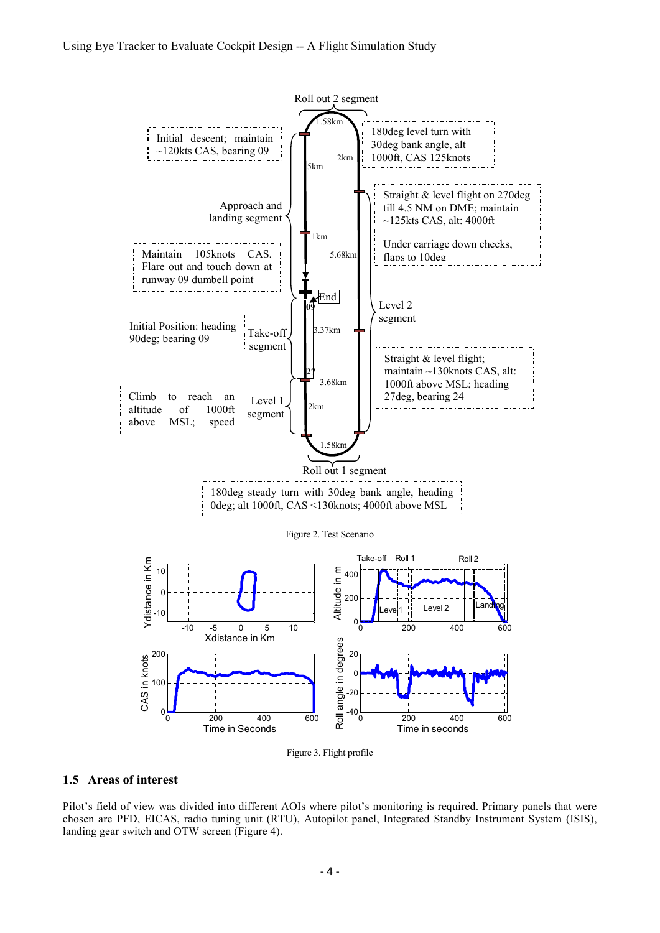



#### **1.5 Areas of interest**

Pilot's field of view was divided into different AOIs where pilot's monitoring is required. Primary panels that were chosen are PFD, EICAS, radio tuning unit (RTU), Autopilot panel, Integrated Standby Instrument System (ISIS), landing gear switch and OTW screen (Figure 4).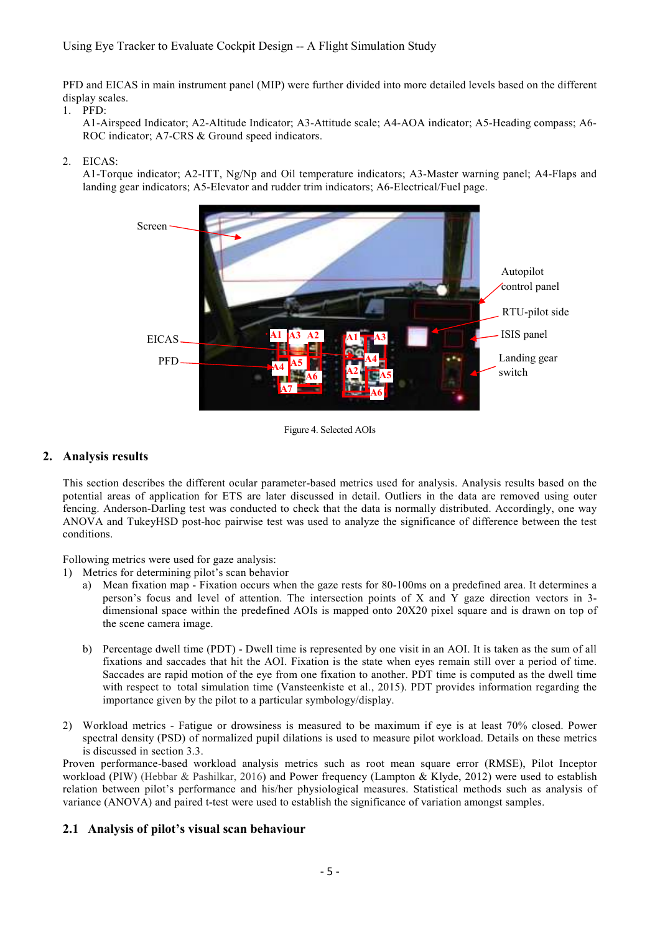## Using Eye Tracker to Evaluate Cockpit Design -- A Flight Simulation Study

PFD and EICAS in main instrument panel (MIP) were further divided into more detailed levels based on the different display scales.

1. PFD:

A1-Airspeed Indicator; A2-Altitude Indicator; A3-Attitude scale; A4-AOA indicator; A5-Heading compass; A6- ROC indicator; A7-CRS & Ground speed indicators.

#### 2. EICAS:

A1-Torque indicator; A2-ITT, Ng/Np and Oil temperature indicators; A3-Master warning panel; A4-Flaps and landing gear indicators; A5-Elevator and rudder trim indicators; A6-Electrical/Fuel page.



Figure 4. Selected AOIs

## **2. Analysis results**

This section describes the different ocular parameter-based metrics used for analysis. Analysis results based on the potential areas of application for ETS are later discussed in detail. Outliers in the data are removed using outer fencing. Anderson-Darling test was conducted to check that the data is normally distributed. Accordingly, one way ANOVA and TukeyHSD post-hoc pairwise test was used to analyze the significance of difference between the test conditions.

Following metrics were used for gaze analysis:

- 1) Metrics for determining pilot's scan behavior
	- a) Mean fixation map Fixation occurs when the gaze rests for 80-100ms on a predefined area. It determines a person's focus and level of attention. The intersection points of X and Y gaze direction vectors in 3 dimensional space within the predefined AOIs is mapped onto 20X20 pixel square and is drawn on top of the scene camera image.
	- b) Percentage dwell time (PDT) Dwell time is represented by one visit in an AOI. It is taken as the sum of all fixations and saccades that hit the AOI. Fixation is the state when eyes remain still over a period of time. Saccades are rapid motion of the eye from one fixation to another. PDT time is computed as the dwell time with respect to total simulation time (Vansteenkiste et al., 2015). PDT provides information regarding the importance given by the pilot to a particular symbology/display.
- 2) Workload metrics Fatigue or drowsiness is measured to be maximum if eye is at least 70% closed. Power spectral density (PSD) of normalized pupil dilations is used to measure pilot workload. Details on these metrics is discussed in section 3.3.

Proven performance-based workload analysis metrics such as root mean square error (RMSE), Pilot Inceptor workload (PIW) (Hebbar & Pashilkar, 2016) and Power frequency (Lampton & Klyde, 2012) were used to establish relation between pilot's performance and his/her physiological measures. Statistical methods such as analysis of variance (ANOVA) and paired t-test were used to establish the significance of variation amongst samples.

## **2.1 Analysis of pilot's visual scan behaviour**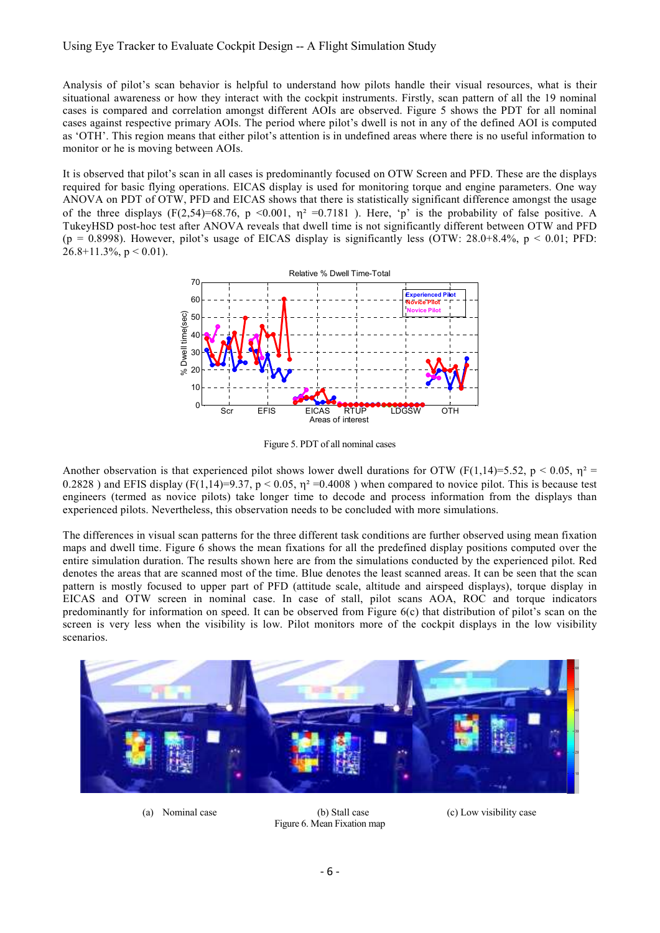Analysis of pilot's scan behavior is helpful to understand how pilots handle their visual resources, what is their situational awareness or how they interact with the cockpit instruments. Firstly, scan pattern of all the 19 nominal cases is compared and correlation amongst different AOIs are observed. Figure 5 shows the PDT for all nominal cases against respective primary AOIs. The period where pilot's dwell is not in any of the defined AOI is computed as 'OTH'. This region means that either pilot's attention is in undefined areas where there is no useful information to monitor or he is moving between AOIs.

It is observed that pilot's scan in all cases is predominantly focused on OTW Screen and PFD. These are the displays required for basic flying operations. EICAS display is used for monitoring torque and engine parameters. One way ANOVA on PDT of OTW, PFD and EICAS shows that there is statistically significant difference amongst the usage of the three displays (F(2,54)=68.76, p <0.001,  $\eta$ <sup>2</sup> =0.7181 ). Here, 'p' is the probability of false positive. A TukeyHSD post-hoc test after ANOVA reveals that dwell time is not significantly different between OTW and PFD (p = 0.8998). However, pilot's usage of EICAS display is significantly less (OTW: 28.0+8.4%, p < 0.01; PFD:  $26.8+11.3\%$ ,  $p < 0.01$ ).



Figure 5. PDT of all nominal cases

Another observation is that experienced pilot shows lower dwell durations for OTW (F(1,14)=5.52, p < 0.05,  $\eta^2$  = 0.2828 ) and EFIS display (F(1,14)=9.37, p < 0.05,  $\eta^2$  =0.4008 ) when compared to novice pilot. This is because test engineers (termed as novice pilots) take longer time to decode and process information from the displays than experienced pilots. Nevertheless, this observation needs to be concluded with more simulations.

The differences in visual scan patterns for the three different task conditions are further observed using mean fixation maps and dwell time. Figure 6 shows the mean fixations for all the predefined display positions computed over the entire simulation duration. The results shown here are from the simulations conducted by the experienced pilot. Red denotes the areas that are scanned most of the time. Blue denotes the least scanned areas. It can be seen that the scan pattern is mostly focused to upper part of PFD (attitude scale, altitude and airspeed displays), torque display in EICAS and OTW screen in nominal case. In case of stall, pilot scans AOA, ROC and torque indicators predominantly for information on speed. It can be observed from Figure 6(c) that distribution of pilot's scan on the screen is very less when the visibility is low. Pilot monitors more of the cockpit displays in the low visibility scenarios.



Figure 6. Mean Fixation map

(a) Nominal case (b) Stall case (c) Low visibility case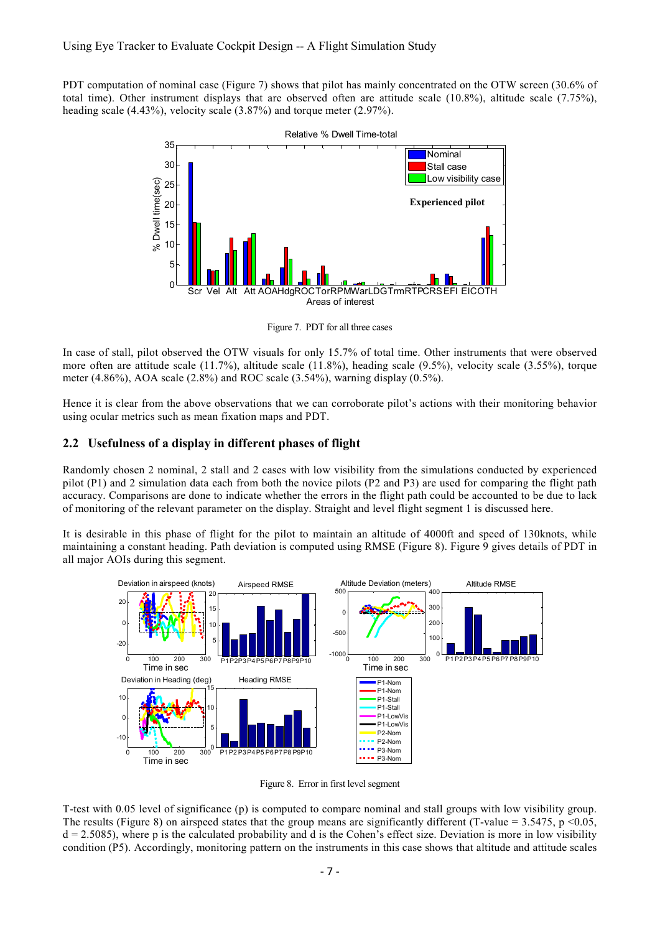PDT computation of nominal case (Figure 7) shows that pilot has mainly concentrated on the OTW screen (30.6% of total time). Other instrument displays that are observed often are attitude scale (10.8%), altitude scale (7.75%), heading scale (4.43%), velocity scale (3.87%) and torque meter (2.97%).



Figure 7. PDT for all three cases

In case of stall, pilot observed the OTW visuals for only 15.7% of total time. Other instruments that were observed more often are attitude scale (11.7%), altitude scale (11.8%), heading scale (9.5%), velocity scale (3.55%), torque meter (4.86%), AOA scale (2.8%) and ROC scale (3.54%), warning display (0.5%).

Hence it is clear from the above observations that we can corroborate pilot's actions with their monitoring behavior using ocular metrics such as mean fixation maps and PDT.

#### **2.2 Usefulness of a display in different phases of flight**

Randomly chosen 2 nominal, 2 stall and 2 cases with low visibility from the simulations conducted by experienced pilot (P1) and 2 simulation data each from both the novice pilots (P2 and P3) are used for comparing the flight path accuracy. Comparisons are done to indicate whether the errors in the flight path could be accounted to be due to lack of monitoring of the relevant parameter on the display. Straight and level flight segment 1 is discussed here.

It is desirable in this phase of flight for the pilot to maintain an altitude of 4000ft and speed of 130knots, while maintaining a constant heading. Path deviation is computed using RMSE (Figure 8). Figure 9 gives details of PDT in all major AOIs during this segment.



Figure 8. Error in first level segment

T-test with 0.05 level of significance (p) is computed to compare nominal and stall groups with low visibility group. The results (Figure 8) on airspeed states that the group means are significantly different (T-value = 3.5475, p <0.05,  $d = 2.5085$ , where p is the calculated probability and d is the Cohen's effect size. Deviation is more in low visibility condition (P5). Accordingly, monitoring pattern on the instruments in this case shows that altitude and attitude scales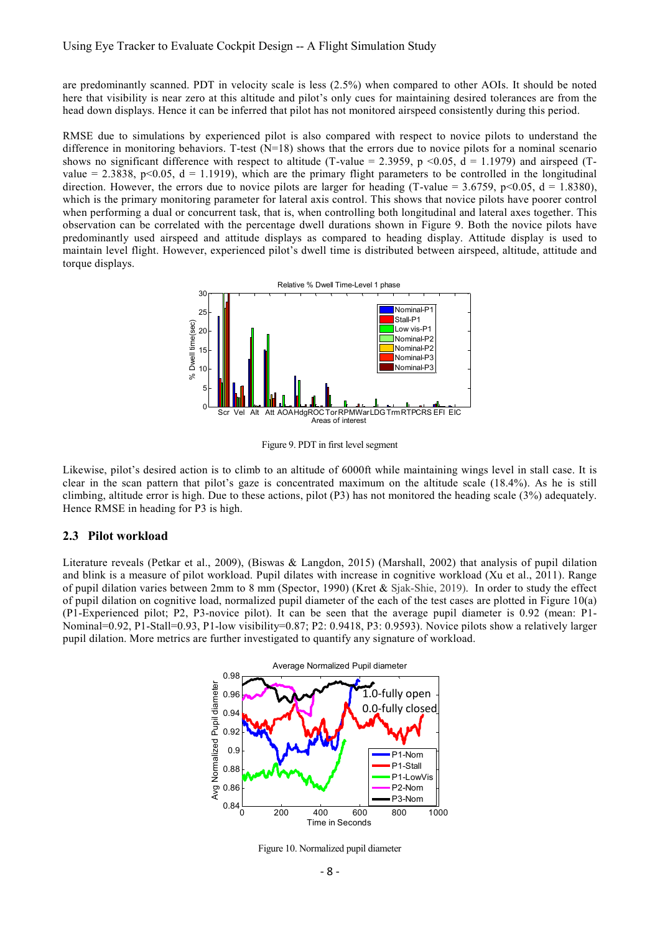are predominantly scanned. PDT in velocity scale is less (2.5%) when compared to other AOIs. It should be noted here that visibility is near zero at this altitude and pilot's only cues for maintaining desired tolerances are from the head down displays. Hence it can be inferred that pilot has not monitored airspeed consistently during this period.

RMSE due to simulations by experienced pilot is also compared with respect to novice pilots to understand the difference in monitoring behaviors. T-test  $(N=18)$  shows that the errors due to novice pilots for a nominal scenario shows no significant difference with respect to altitude (T-value = 2.3959, p <0.05, d = 1.1979) and airspeed (Tvalue = 2.3838,  $p<0.05$ ,  $d = 1.1919$ ), which are the primary flight parameters to be controlled in the longitudinal direction. However, the errors due to novice pilots are larger for heading (T-value = 3.6759, p<0.05, d = 1.8380), which is the primary monitoring parameter for lateral axis control. This shows that novice pilots have poorer control when performing a dual or concurrent task, that is, when controlling both longitudinal and lateral axes together. This observation can be correlated with the percentage dwell durations shown in Figure 9. Both the novice pilots have predominantly used airspeed and attitude displays as compared to heading display. Attitude display is used to maintain level flight. However, experienced pilot's dwell time is distributed between airspeed, altitude, attitude and torque displays.



Figure 9. PDT in first level segment

Likewise, pilot's desired action is to climb to an altitude of 6000ft while maintaining wings level in stall case. It is clear in the scan pattern that pilot's gaze is concentrated maximum on the altitude scale (18.4%). As he is still climbing, altitude error is high. Due to these actions, pilot (P3) has not monitored the heading scale (3%) adequately. Hence RMSE in heading for P3 is high.

#### **2.3 Pilot workload**

Literature reveals (Petkar et al., 2009), (Biswas & Langdon, 2015) (Marshall, 2002) that analysis of pupil dilation and blink is a measure of pilot workload. Pupil dilates with increase in cognitive workload (Xu et al., 2011). Range of pupil dilation varies between 2mm to 8 mm (Spector, 1990) (Kret & Sjak-Shie, 2019). In order to study the effect of pupil dilation on cognitive load, normalized pupil diameter of the each of the test cases are plotted in Figure 10(a) (P1-Experienced pilot; P2, P3-novice pilot). It can be seen that the average pupil diameter is 0.92 (mean: P1- Nominal=0.92, P1-Stall=0.93, P1-low visibility=0.87; P2: 0.9418, P3: 0.9593). Novice pilots show a relatively larger pupil dilation. More metrics are further investigated to quantify any signature of workload.



Figure 10. Normalized pupil diameter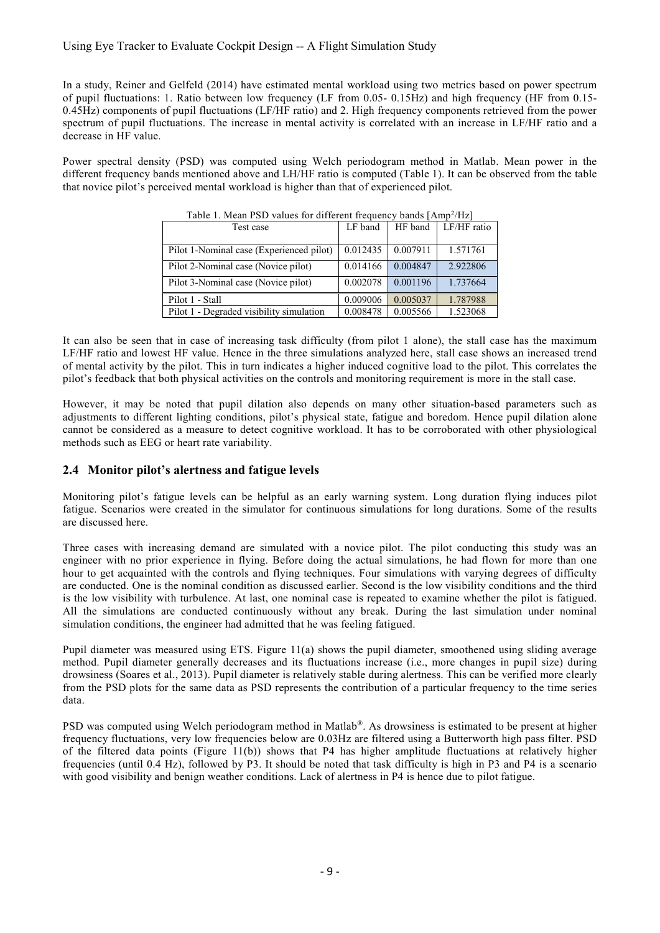## Using Eye Tracker to Evaluate Cockpit Design -- A Flight Simulation Study

In a study, Reiner and Gelfeld (2014) have estimated mental workload using two metrics based on power spectrum of pupil fluctuations: 1. Ratio between low frequency (LF from 0.05- 0.15Hz) and high frequency (HF from 0.15- 0.45Hz) components of pupil fluctuations (LF/HF ratio) and 2. High frequency components retrieved from the power spectrum of pupil fluctuations. The increase in mental activity is correlated with an increase in LF/HF ratio and a decrease in HF value.

Power spectral density (PSD) was computed using Welch periodogram method in Matlab. Mean power in the different frequency bands mentioned above and LH/HF ratio is computed (Table 1). It can be observed from the table that novice pilot's perceived mental workload is higher than that of experienced pilot.

| Table 1. Mean FSD values for different flequency bands (Amp / Hz) |                                                         |                                              |
|-------------------------------------------------------------------|---------------------------------------------------------|----------------------------------------------|
|                                                                   |                                                         | HF band   LF/HF ratio                        |
|                                                                   |                                                         |                                              |
|                                                                   |                                                         |                                              |
|                                                                   |                                                         | 1.571761                                     |
|                                                                   |                                                         |                                              |
|                                                                   |                                                         | 2.922806                                     |
|                                                                   |                                                         |                                              |
|                                                                   |                                                         | 1.737664                                     |
|                                                                   |                                                         |                                              |
|                                                                   |                                                         | 1.787988                                     |
|                                                                   |                                                         |                                              |
| 0.008478                                                          | 0.005566                                                | 1.523068                                     |
|                                                                   | LF band<br>0.012435<br>0.014166<br>0.002078<br>0.009006 | 0.007911<br>0.004847<br>0.001196<br>0.005037 |

Table 1. Mean PSD values for different frequency bands [Amp<sup>2</sup>/Hz]

It can also be seen that in case of increasing task difficulty (from pilot 1 alone), the stall case has the maximum LF/HF ratio and lowest HF value. Hence in the three simulations analyzed here, stall case shows an increased trend of mental activity by the pilot. This in turn indicates a higher induced cognitive load to the pilot. This correlates the pilot's feedback that both physical activities on the controls and monitoring requirement is more in the stall case.

However, it may be noted that pupil dilation also depends on many other situation-based parameters such as adjustments to different lighting conditions, pilot's physical state, fatigue and boredom. Hence pupil dilation alone cannot be considered as a measure to detect cognitive workload. It has to be corroborated with other physiological methods such as EEG or heart rate variability.

## **2.4 Monitor pilot's alertness and fatigue levels**

Monitoring pilot's fatigue levels can be helpful as an early warning system. Long duration flying induces pilot fatigue. Scenarios were created in the simulator for continuous simulations for long durations. Some of the results are discussed here.

Three cases with increasing demand are simulated with a novice pilot. The pilot conducting this study was an engineer with no prior experience in flying. Before doing the actual simulations, he had flown for more than one hour to get acquainted with the controls and flying techniques. Four simulations with varying degrees of difficulty are conducted. One is the nominal condition as discussed earlier. Second is the low visibility conditions and the third is the low visibility with turbulence. At last, one nominal case is repeated to examine whether the pilot is fatigued. All the simulations are conducted continuously without any break. During the last simulation under nominal simulation conditions, the engineer had admitted that he was feeling fatigued.

Pupil diameter was measured using ETS. Figure 11(a) shows the pupil diameter, smoothened using sliding average method. Pupil diameter generally decreases and its fluctuations increase (i.e., more changes in pupil size) during drowsiness (Soares et al., 2013). Pupil diameter is relatively stable during alertness. This can be verified more clearly from the PSD plots for the same data as PSD represents the contribution of a particular frequency to the time series data.

PSD was computed using Welch periodogram method in Matlab®. As drowsiness is estimated to be present at higher frequency fluctuations, very low frequencies below are 0.03Hz are filtered using a Butterworth high pass filter. PSD of the filtered data points (Figure 11(b)) shows that P4 has higher amplitude fluctuations at relatively higher frequencies (until 0.4 Hz), followed by P3. It should be noted that task difficulty is high in P3 and P4 is a scenario with good visibility and benign weather conditions. Lack of alertness in P4 is hence due to pilot fatigue.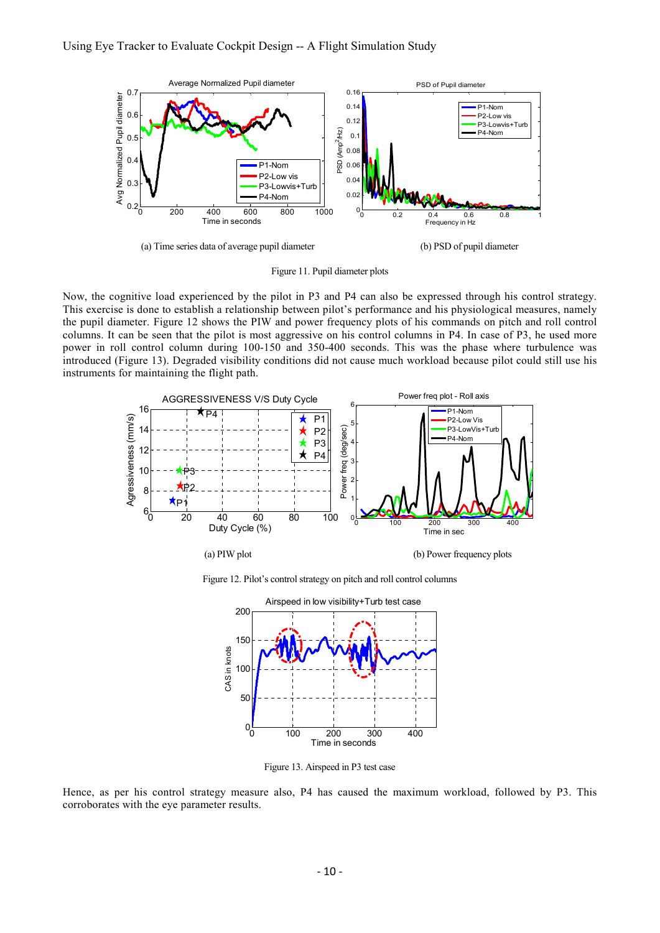

(a) Time series data of average pupil diameter (b) PSD of pupil diameter

Figure 11. Pupil diameter plots

Now, the cognitive load experienced by the pilot in P3 and P4 can also be expressed through his control strategy. This exercise is done to establish a relationship between pilot's performance and his physiological measures, namely the pupil diameter. Figure 12 shows the PIW and power frequency plots of his commands on pitch and roll control columns. It can be seen that the pilot is most aggressive on his control columns in P4. In case of P3, he used more power in roll control column during 100-150 and 350-400 seconds. This was the phase where turbulence was introduced (Figure 13). Degraded visibility conditions did not cause much workload because pilot could still use his instruments for maintaining the flight path.



Figure 12. Pilot's control strategy on pitch and roll control columns



Figure 13. Airspeed in P3 test case

Hence, as per his control strategy measure also, P4 has caused the maximum workload, followed by P3. This corroborates with the eye parameter results.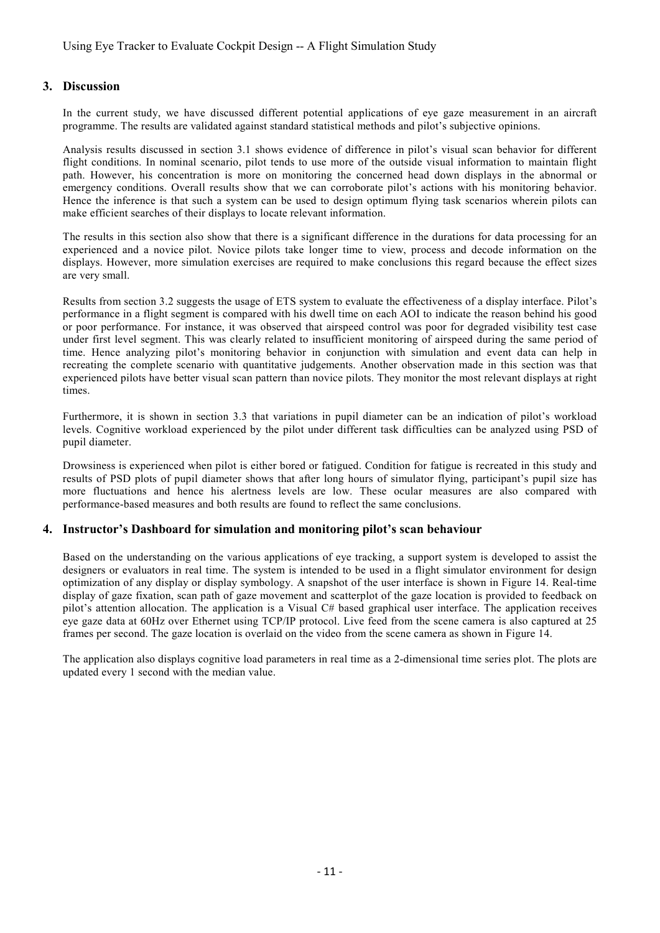#### **3. Discussion**

In the current study, we have discussed different potential applications of eye gaze measurement in an aircraft programme. The results are validated against standard statistical methods and pilot's subjective opinions.

Analysis results discussed in section 3.1 shows evidence of difference in pilot's visual scan behavior for different flight conditions. In nominal scenario, pilot tends to use more of the outside visual information to maintain flight path. However, his concentration is more on monitoring the concerned head down displays in the abnormal or emergency conditions. Overall results show that we can corroborate pilot's actions with his monitoring behavior. Hence the inference is that such a system can be used to design optimum flying task scenarios wherein pilots can make efficient searches of their displays to locate relevant information.

The results in this section also show that there is a significant difference in the durations for data processing for an experienced and a novice pilot. Novice pilots take longer time to view, process and decode information on the displays. However, more simulation exercises are required to make conclusions this regard because the effect sizes are very small.

Results from section 3.2 suggests the usage of ETS system to evaluate the effectiveness of a display interface. Pilot's performance in a flight segment is compared with his dwell time on each AOI to indicate the reason behind his good or poor performance. For instance, it was observed that airspeed control was poor for degraded visibility test case under first level segment. This was clearly related to insufficient monitoring of airspeed during the same period of time. Hence analyzing pilot's monitoring behavior in conjunction with simulation and event data can help in recreating the complete scenario with quantitative judgements. Another observation made in this section was that experienced pilots have better visual scan pattern than novice pilots. They monitor the most relevant displays at right times.

Furthermore, it is shown in section 3.3 that variations in pupil diameter can be an indication of pilot's workload levels. Cognitive workload experienced by the pilot under different task difficulties can be analyzed using PSD of pupil diameter.

Drowsiness is experienced when pilot is either bored or fatigued. Condition for fatigue is recreated in this study and results of PSD plots of pupil diameter shows that after long hours of simulator flying, participant's pupil size has more fluctuations and hence his alertness levels are low. These ocular measures are also compared with performance-based measures and both results are found to reflect the same conclusions.

#### **4. Instructor's Dashboard for simulation and monitoring pilot's scan behaviour**

Based on the understanding on the various applications of eye tracking, a support system is developed to assist the designers or evaluators in real time. The system is intended to be used in a flight simulator environment for design optimization of any display or display symbology. A snapshot of the user interface is shown in Figure 14. Real-time display of gaze fixation, scan path of gaze movement and scatterplot of the gaze location is provided to feedback on pilot's attention allocation. The application is a Visual C# based graphical user interface. The application receives eye gaze data at 60Hz over Ethernet using TCP/IP protocol. Live feed from the scene camera is also captured at 25 frames per second. The gaze location is overlaid on the video from the scene camera as shown in Figure 14.

The application also displays cognitive load parameters in real time as a 2-dimensional time series plot. The plots are updated every 1 second with the median value.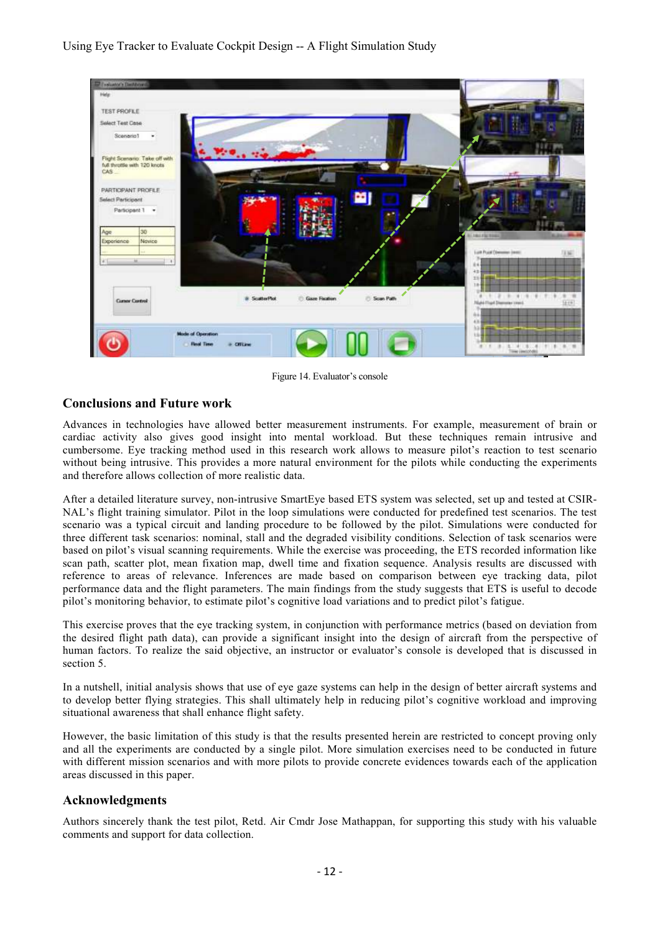

Figure 14. Evaluator's console

# **Conclusions and Future work**

Advances in technologies have allowed better measurement instruments. For example, measurement of brain or cardiac activity also gives good insight into mental workload. But these techniques remain intrusive and cumbersome. Eye tracking method used in this research work allows to measure pilot's reaction to test scenario without being intrusive. This provides a more natural environment for the pilots while conducting the experiments and therefore allows collection of more realistic data.

After a detailed literature survey, non-intrusive SmartEye based ETS system was selected, set up and tested at CSIR-NAL's flight training simulator. Pilot in the loop simulations were conducted for predefined test scenarios. The test scenario was a typical circuit and landing procedure to be followed by the pilot. Simulations were conducted for three different task scenarios: nominal, stall and the degraded visibility conditions. Selection of task scenarios were based on pilot's visual scanning requirements. While the exercise was proceeding, the ETS recorded information like scan path, scatter plot, mean fixation map, dwell time and fixation sequence. Analysis results are discussed with reference to areas of relevance. Inferences are made based on comparison between eye tracking data, pilot performance data and the flight parameters. The main findings from the study suggests that ETS is useful to decode pilot's monitoring behavior, to estimate pilot's cognitive load variations and to predict pilot's fatigue.

This exercise proves that the eye tracking system, in conjunction with performance metrics (based on deviation from the desired flight path data), can provide a significant insight into the design of aircraft from the perspective of human factors. To realize the said objective, an instructor or evaluator's console is developed that is discussed in section 5.

In a nutshell, initial analysis shows that use of eye gaze systems can help in the design of better aircraft systems and to develop better flying strategies. This shall ultimately help in reducing pilot's cognitive workload and improving situational awareness that shall enhance flight safety.

However, the basic limitation of this study is that the results presented herein are restricted to concept proving only and all the experiments are conducted by a single pilot. More simulation exercises need to be conducted in future with different mission scenarios and with more pilots to provide concrete evidences towards each of the application areas discussed in this paper.

# **Acknowledgments**

Authors sincerely thank the test pilot, Retd. Air Cmdr Jose Mathappan, for supporting this study with his valuable comments and support for data collection.